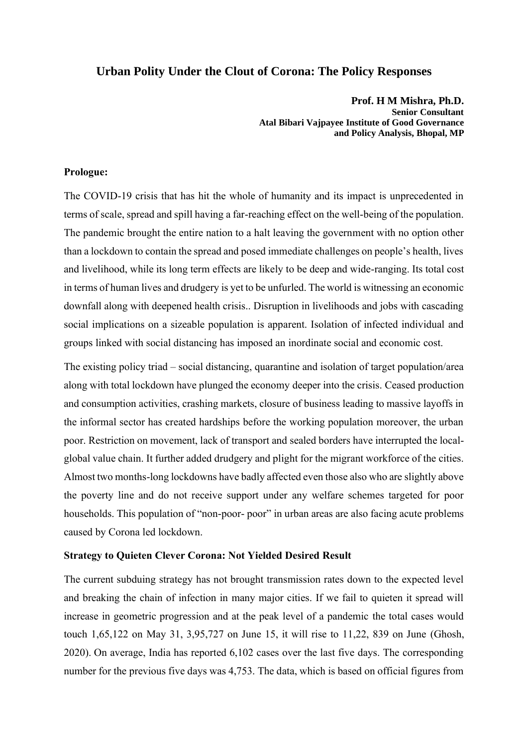# **Urban Polity Under the Clout of Corona: The Policy Responses**

**Prof. H M Mishra, Ph.D. Senior Consultant Atal Bibari Vajpayee Institute of Good Governance and Policy Analysis, Bhopal, MP**

## **Prologue:**

The COVID-19 crisis that has hit the whole of humanity and its impact is unprecedented in terms of scale, spread and spill having a far-reaching effect on the well-being of the population. The pandemic brought the entire nation to a halt leaving the government with no option other than a lockdown to contain the spread and posed immediate challenges on people's health, lives and livelihood, while its long term effects are likely to be deep and wide-ranging. Its total cost in terms of human lives and drudgery is yet to be unfurled. The world is witnessing an economic downfall along with deepened health crisis.. Disruption in livelihoods and jobs with cascading social implications on a sizeable population is apparent. Isolation of infected individual and groups linked with social distancing has imposed an inordinate social and economic cost.

The existing policy triad – social distancing, quarantine and isolation of target population/area along with total lockdown have plunged the economy deeper into the crisis. Ceased production and consumption activities, crashing markets, closure of business leading to massive layoffs in the informal sector has created hardships before the working population moreover, the urban poor. Restriction on movement, lack of transport and sealed borders have interrupted the localglobal value chain. It further added drudgery and plight for the migrant workforce of the cities. Almost two months-long lockdowns have badly affected even those also who are slightly above the poverty line and do not receive support under any welfare schemes targeted for poor households. This population of "non-poor- poor" in urban areas are also facing acute problems caused by Corona led lockdown.

#### **Strategy to Quieten Clever Corona: Not Yielded Desired Result**

The current subduing strategy has not brought transmission rates down to the expected level and breaking the chain of infection in many major cities. If we fail to quieten it spread will increase in geometric progression and at the peak level of a pandemic the total cases would touch 1,65,122 on May 31, 3,95,727 on June 15, it will rise to 11,22, 839 on June (Ghosh, 2020). On average, India has reported 6,102 cases over the last five days. The corresponding number for the previous five days was 4,753. The data, which is based on official figures from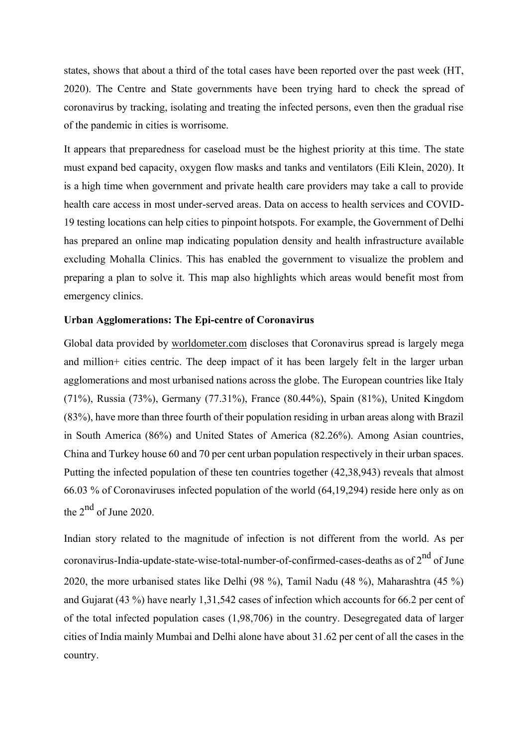states, shows that about a third of the total cases have been reported over the past week (HT, 2020). The Centre and State governments have been trying hard to check the spread of coronavirus by tracking, isolating and treating the infected persons, even then the gradual rise of the pandemic in cities is worrisome.

It appears that preparedness for caseload must be the highest priority at this time. The state must expand bed capacity, oxygen flow masks and tanks and ventilators (Eili Klein, 2020). It is a high time when government and private health care providers may take a call to provide health care access in most under-served areas. Data on access to health services and COVID-19 testing locations can help cities to pinpoint hotspots. For example, the Government of Delhi has prepared an online map indicating population density and health infrastructure available excluding Mohalla Clinics. This has enabled the government to visualize the problem and preparing a plan to solve it. This map also highlights which areas would benefit most from emergency clinics.

## **Urban Agglomerations: The Epi-centre of Coronavirus**

Global data provided by worldometer.com discloses that Coronavirus spread is largely mega and million+ cities centric. The deep impact of it has been largely felt in the larger urban agglomerations and most urbanised nations across the globe. The European countries like Italy (71%), Russia (73%), Germany (77.31%), France (80.44%), Spain (81%), United Kingdom (83%), have more than three fourth of their population residing in urban areas along with Brazil in South America (86%) and United States of America (82.26%). Among Asian countries, China and Turkey house 60 and 70 per cent urban population respectively in their urban spaces. Putting the infected population of these ten countries together (42,38,943) reveals that almost 66.03 % of Coronaviruses infected population of the world (64,19,294) reside here only as on the  $2<sup>nd</sup>$  of June 2020.

Indian story related to the magnitude of infection is not different from the world. As per coronavirus-India-update-state-wise-total-number-of-confirmed-cases-deaths as of  $2^{nd}$  of June 2020, the more urbanised states like Delhi (98 %), Tamil Nadu (48 %), Maharashtra (45 %) and Gujarat (43 %) have nearly 1,31,542 cases of infection which accounts for 66.2 per cent of of the total infected population cases (1,98,706) in the country. Desegregated data of larger cities of India mainly Mumbai and Delhi alone have about 31.62 per cent of all the cases in the country.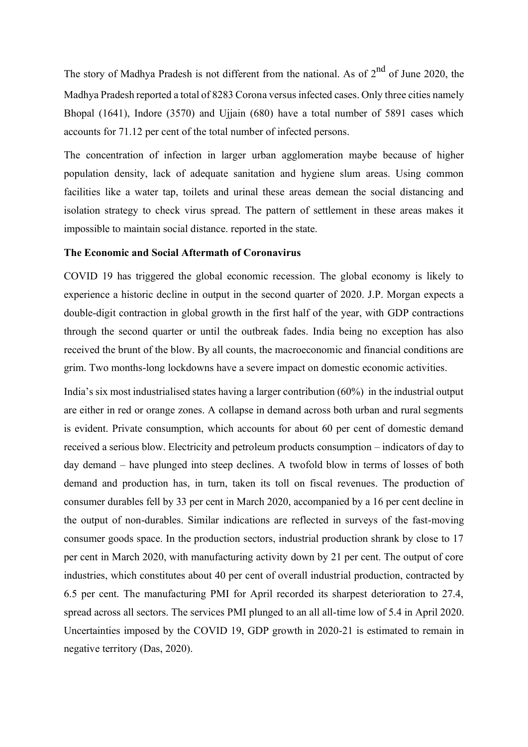The story of Madhya Pradesh is not different from the national. As of 2<sup>nd</sup> of June 2020, the Madhya Pradesh reported a total of 8283 Corona versus infected cases. Only three cities namely Bhopal (1641), Indore (3570) and Ujjain (680) have a total number of 5891 cases which accounts for 71.12 per cent of the total number of infected persons.

The concentration of infection in larger urban agglomeration maybe because of higher population density, lack of adequate sanitation and hygiene slum areas. Using common facilities like a water tap, toilets and urinal these areas demean the social distancing and isolation strategy to check virus spread. The pattern of settlement in these areas makes it impossible to maintain social distance. reported in the state.

#### **The Economic and Social Aftermath of Coronavirus**

COVID 19 has triggered the global economic recession. The global economy is likely to experience a historic decline in output in the second quarter of 2020. J.P. Morgan expects a double-digit contraction in global growth in the first half of the year, with GDP contractions through the second quarter or until the outbreak fades. India being no exception has also received the brunt of the blow. By all counts, the macroeconomic and financial conditions are grim. Two months-long lockdowns have a severe impact on domestic economic activities.

India's six most industrialised states having a larger contribution (60%) in the industrial output are either in red or orange zones. A collapse in demand across both urban and rural segments is evident. Private consumption, which accounts for about 60 per cent of domestic demand received a serious blow. Electricity and petroleum products consumption – indicators of day to day demand – have plunged into steep declines. A twofold blow in terms of losses of both demand and production has, in turn, taken its toll on fiscal revenues. The production of consumer durables fell by 33 per cent in March 2020, accompanied by a 16 per cent decline in the output of non-durables. Similar indications are reflected in surveys of the fast-moving consumer goods space. In the production sectors, industrial production shrank by close to 17 per cent in March 2020, with manufacturing activity down by 21 per cent. The output of core industries, which constitutes about 40 per cent of overall industrial production, contracted by 6.5 per cent. The manufacturing PMI for April recorded its sharpest deterioration to 27.4, spread across all sectors. The services PMI plunged to an all all-time low of 5.4 in April 2020. Uncertainties imposed by the COVID 19, GDP growth in 2020-21 is estimated to remain in negative territory (Das, 2020).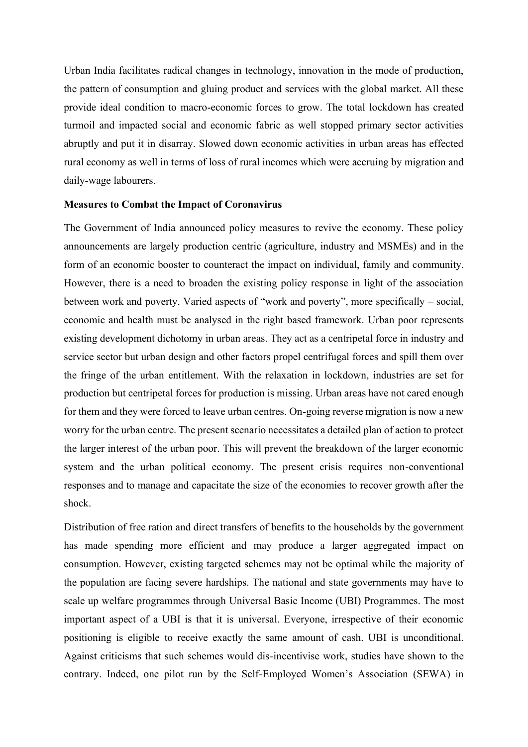Urban India facilitates radical changes in technology, innovation in the mode of production, the pattern of consumption and gluing product and services with the global market. All these provide ideal condition to macro-economic forces to grow. The total lockdown has created turmoil and impacted social and economic fabric as well stopped primary sector activities abruptly and put it in disarray. Slowed down economic activities in urban areas has effected rural economy as well in terms of loss of rural incomes which were accruing by migration and daily-wage labourers.

## **Measures to Combat the Impact of Coronavirus**

The Government of India announced policy measures to revive the economy. These policy announcements are largely production centric (agriculture, industry and MSMEs) and in the form of an economic booster to counteract the impact on individual, family and community. However, there is a need to broaden the existing policy response in light of the association between work and poverty. Varied aspects of "work and poverty", more specifically – social, economic and health must be analysed in the right based framework. Urban poor represents existing development dichotomy in urban areas. They act as a centripetal force in industry and service sector but urban design and other factors propel centrifugal forces and spill them over the fringe of the urban entitlement. With the relaxation in lockdown, industries are set for production but centripetal forces for production is missing. Urban areas have not cared enough for them and they were forced to leave urban centres. On-going reverse migration is now a new worry for the urban centre. The present scenario necessitates a detailed plan of action to protect the larger interest of the urban poor. This will prevent the breakdown of the larger economic system and the urban political economy. The present crisis requires non-conventional responses and to manage and capacitate the size of the economies to recover growth after the shock.

Distribution of free ration and direct transfers of benefits to the households by the government has made spending more efficient and may produce a larger aggregated impact on consumption. However, existing targeted schemes may not be optimal while the majority of the population are facing severe hardships. The national and state governments may have to scale up welfare programmes through Universal Basic Income (UBI) Programmes. The most important aspect of a UBI is that it is universal. Everyone, irrespective of their economic positioning is eligible to receive exactly the same amount of cash. UBI is unconditional. Against criticisms that such schemes would dis-incentivise work, studies have shown to the contrary. Indeed, one pilot run by the Self-Employed Women's Association (SEWA) in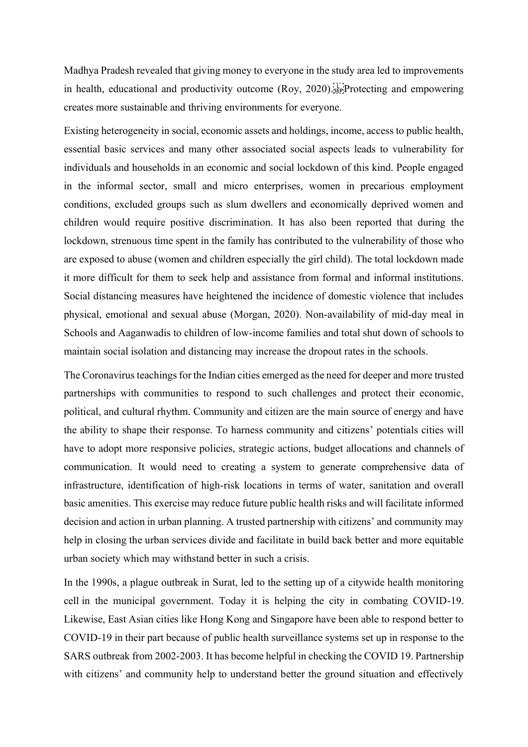Madhya Pradesh revealed that giving money to everyone in the study area led to improvements in health, educational and productivity outcome (Roy, 2020). Following and empowering creates more sustainable and thriving environments for everyone.

Existing heterogeneity in social, economic assets and holdings, income, access to public health, essential basic services and many other associated social aspects leads to vulnerability for individuals and households in an economic and social lockdown of this kind. People engaged in the informal sector, small and micro enterprises, women in precarious employment conditions, excluded groups such as slum dwellers and economically deprived women and children would require positive discrimination. It has also been reported that during the lockdown, strenuous time spent in the family has contributed to the vulnerability of those who are exposed to abuse (women and children especially the girl child). The total lockdown made it more difficult for them to seek help and assistance from formal and informal institutions. Social distancing measures have heightened the incidence of domestic violence that includes physical, emotional and sexual abuse (Morgan, 2020). Non-availability of mid-day meal in Schools and Aaganwadis to children of low-income families and total shut down of schools to maintain social isolation and distancing may increase the dropout rates in the schools.

The Coronavirus teachings for the Indian cities emerged as the need for deeper and more trusted partnerships with communities to respond to such challenges and protect their economic, political, and cultural rhythm. Community and citizen are the main source of energy and have the ability to shape their response. To harness community and citizens' potentials cities will have to adopt more responsive policies, strategic actions, budget allocations and channels of communication. It would need to creating a system to generate comprehensive data of infrastructure, identification of high-risk locations in terms of water, sanitation and overall basic amenities. This exercise may reduce future public health risks and will facilitate informed decision and action in urban planning. A trusted partnership with citizens' and community may help in closing the urban services divide and facilitate in build back better and more equitable urban society which may withstand better in such a crisis.

In the 1990s, a plague outbreak in Surat, led to the setting up of a citywide health monitoring cell in the municipal government. Today it is helping the city in combating COVID-19. Likewise, East Asian cities like Hong Kong and Singapore have been able to respond better to COVID-19 in their part because of public health surveillance systems set up in response to the SARS outbreak from 2002-2003. It has become helpful in checking the COVID 19. Partnership with citizens' and community help to understand better the ground situation and effectively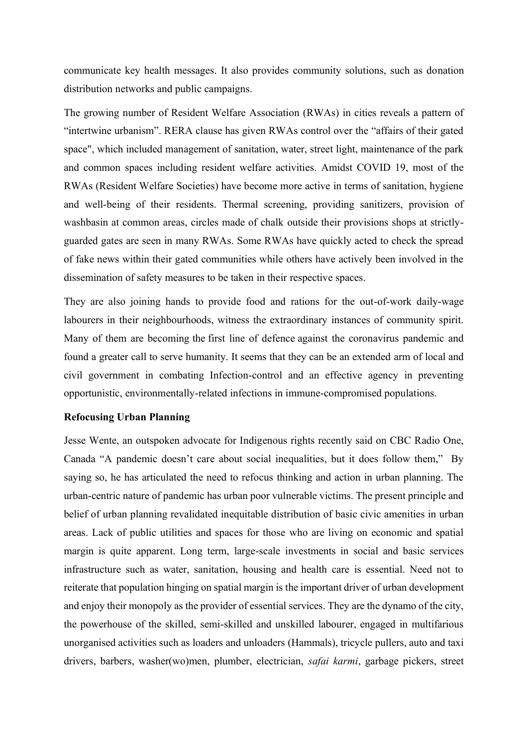communicate key health messages. It also provides community solutions, such as donation distribution networks and public campaigns.

The growing number of Resident Welfare Association (RWAs) in cities reveals a pattern of "intertwine urbanism". RERA clause has given RWAs control over the "affairs of their gated space", which included management of sanitation, water, street light, maintenance of the park and common spaces including resident welfare activities. Amidst COVID 19, most of the RWAs (Resident Welfare Societies) have become more active in terms of sanitation, hygiene and well-being of their residents. Thermal screening, providing sanitizers, provision of washbasin at common areas, circles made of chalk outside their provisions shops at strictlyguarded gates are seen in many RWAs. Some RWAs have quickly acted to check the spread of fake news within their gated communities while others have actively been involved in the dissemination of safety measures to be taken in their respective spaces.

They are also joining hands to provide food and rations for the out-of-work daily-wage labourers in their neighbourhoods, witness the extraordinary instances of community spirit. Many of them are becoming the first line of defence against the coronavirus pandemic and found a greater call to serve humanity. It seems that they can be an extended arm of local and civil government in combating Infection-control and an effective agency in preventing opportunistic, environmentally-related infections in immune-compromised populations.

#### **Refocusing Urban Planning**

Jesse Wente, an outspoken advocate for Indigenous rights recently said on CBC Radio One, Canada "A pandemic doesn't care about social inequalities, but it does follow them," By saying so, he has articulated the need to refocus thinking and action in urban planning. The urban-centric nature of pandemic has urban poor vulnerable victims. The present principle and belief of urban planning revalidated inequitable distribution of basic civic amenities in urban areas. Lack of public utilities and spaces for those who are living on economic and spatial margin is quite apparent. Long term, large-scale investments in social and basic services infrastructure such as water, sanitation, housing and health care is essential. Need not to reiterate that population hinging on spatial margin is the important driver of urban development and enjoy their monopoly as the provider of essential services. They are the dynamo of the city, the powerhouse of the skilled, semi-skilled and unskilled labourer, engaged in multifarious unorganised activities such as loaders and unloaders (Hammals), tricycle pullers, auto and taxi drivers, barbers, washer(wo)men, plumber, electrician, *safai karmi*, garbage pickers, street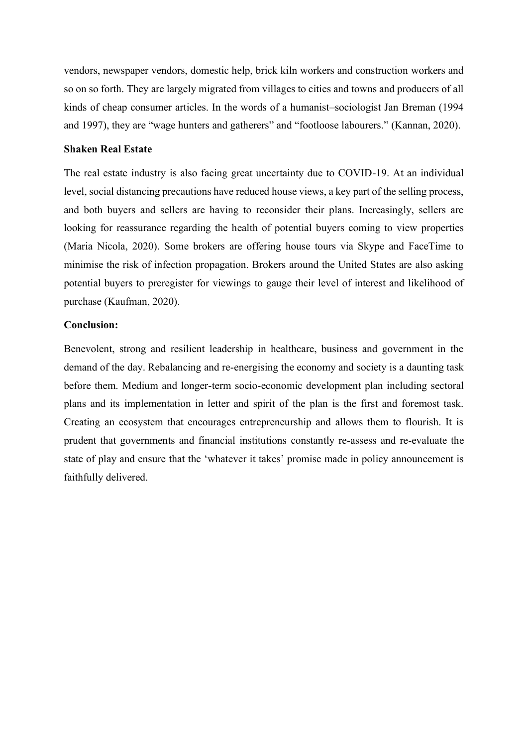vendors, newspaper vendors, domestic help, brick kiln workers and construction workers and so on so forth. They are largely migrated from villages to cities and towns and producers of all kinds of cheap consumer articles. In the words of a humanist–sociologist Jan Breman (1994 and 1997), they are "wage hunters and gatherers" and "footloose labourers." (Kannan, 2020).

## **Shaken Real Estate**

The real estate industry is also facing great uncertainty due to COVID-19. At an individual level, social distancing precautions have reduced house views, a key part of the selling process, and both buyers and sellers are having to reconsider their plans. Increasingly, sellers are looking for reassurance regarding the health of potential buyers coming to view properties (Maria Nicola, 2020). Some brokers are offering house tours via Skype and FaceTime to minimise the risk of infection propagation. Brokers around the United States are also asking potential buyers to preregister for viewings to gauge their level of interest and likelihood of purchase (Kaufman, 2020).

# **Conclusion:**

Benevolent, strong and resilient leadership in healthcare, business and government in the demand of the day. Rebalancing and re-energising the economy and society is a daunting task before them. Medium and longer-term socio-economic development plan including sectoral plans and its implementation in letter and spirit of the plan is the first and foremost task. Creating an ecosystem that encourages entrepreneurship and allows them to flourish. It is prudent that governments and financial institutions constantly re-assess and re-evaluate the state of play and ensure that the 'whatever it takes' promise made in policy announcement is faithfully delivered.